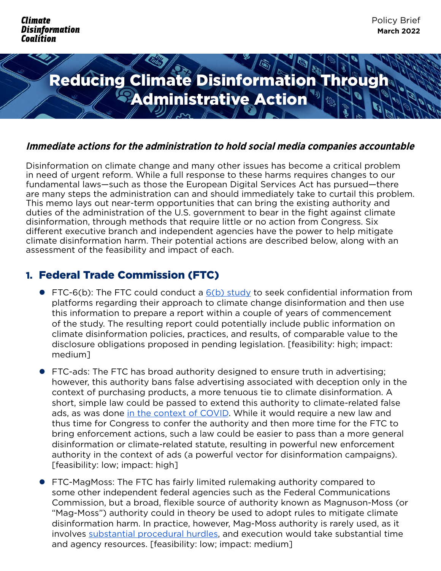

#### **Immediate actions for the administration to hold social media companies accountable**

Disinformation on climate change and many other issues has become a critical problem in need of urgent reform. While a full response to these harms requires changes to our fundamental laws—such as those the European Digital Services Act has pursued—there are many steps the administration can and should immediately take to curtail this problem. This memo lays out near-term opportunities that can bring the existing authority and duties of the administration of the U.S. government to bear in the fight against climate disinformation, through methods that require little or no action from Congress. Six different executive branch and independent agencies have the power to help mitigate climate disinformation harm. Their potential actions are described below, along with an assessment of the feasibility and impact of each.

# 1. Federal Trade Commission (FTC)

- FTC-6(b): The FTC could conduct a  $6(b)$  study to seek confidential information from platforms regarding their approach to climate change disinformation and then use this information to prepare a report within a couple of years of commencement of the study. The resulting report could potentially include public information on climate disinformation policies, practices, and results, of comparable value to the disclosure obligations proposed in pending legislation. [feasibility: high; impact: medium]
- FTC-ads: The FTC has broad authority designed to ensure truth in advertising; however, this authority bans false advertising associated with deception only in the context of purchasing products, a more tenuous tie to climate disinformation. A short, simple law could be passed to extend this authority to climate-related false ads, as was done [in the context of COVID.](https://www.congress.gov/bill/116th-congress/senate-bill/5075/text) While it would require a new law and thus time for Congress to confer the authority and then more time for the FTC to bring enforcement actions, such a law could be easier to pass than a more general disinformation or climate-related statute, resulting in powerful new enforcement authority in the context of ads (a powerful vector for disinformation campaigns). [feasibility: low; impact: high]
- FTC-MagMoss: The FTC has fairly limited rulemaking authority compared to some other independent federal agencies such as the Federal Communications Commission, but a broad, flexible source of authority known as Magnuson-Moss (or "Mag-Moss") authority could in theory be used to adopt rules to mitigate climate disinformation harm. In practice, however, Mag-Moss authority is rarely used, as it involves [substantial procedural hurdles,](https://www.adlawaccess.com/2022/01/articles/the-ftcs-magnuson-moss-rulemaking-process-still-an-uphill-climb/) and execution would take substantial time and agency resources. [feasibility: low; impact: medium]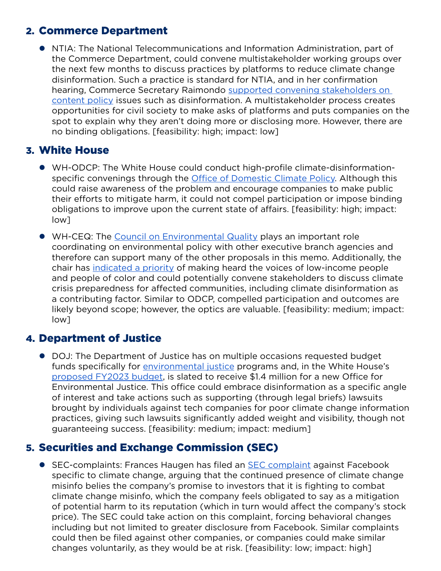## 2. Commerce Department

**• NTIA: The National Telecommunications and Information Administration, part of** the Commerce Department, could convene multistakeholder working groups over the next few months to discuss practices by platforms to reduce climate change disinformation. Such a practice is standard for NTIA, and in her confirmation hearing, Commerce Secretary Raimondo supported convening stakeholders on [content policy](https://www.protocol.com/bulletins/gina-raimondo-section-230-reform) issues such as disinformation. A multistakeholder process creates opportunities for civil society to make asks of platforms and puts companies on the spot to explain why they aren't doing more or disclosing more. However, there are no binding obligations. [feasibility: high; impact: low]

## 3. White House

- WH-ODCP: The White House could conduct high-profile climate-disinformationspecific convenings through the **Office of Domestic Climate Policy**. Although this could raise awareness of the problem and encourage companies to make public their efforts to mitigate harm, it could not compel participation or impose binding obligations to improve upon the current state of affairs. [feasibility: high; impact: low]
- WH-CEQ: The [Council on Environmental Quality](https://www.whitehouse.gov/ceq/) plays an important role coordinating on environmental policy with other executive branch agencies and therefore can support many of the other proposals in this memo. Additionally, the chair has [indicated a priority](https://www.whitehouse.gov/ceq/chair-brenda-mallory/) of making heard the voices of low-income people and people of color and could potentially convene stakeholders to discuss climate crisis preparedness for affected communities, including climate disinformation as a contributing factor. Similar to ODCP, compelled participation and outcomes are likely beyond scope; however, the optics are valuable. [feasibility: medium; impact: low]

#### 4. Department of Justice

• DOJ: The Department of Justice has on multiple occasions requested budget funds specifically for [environmental justice](https://www.justice.gov/opa/pr/department-justice-fiscal-year-2022-funding-request) programs and, in the White House's [proposed FY2023 budget](https://www.whitehouse.gov/wp-content/uploads/2022/03/budget_fy2023.pdf), is slated to receive \$1.4 million for a new Office for Environmental Justice. This office could embrace disinformation as a specific angle of interest and take actions such as supporting (through legal briefs) lawsuits brought by individuals against tech companies for poor climate change information practices, giving such lawsuits significantly added weight and visibility, though not guaranteeing success. [feasibility: medium; impact: medium]

# 5. Securities and Exchange Commission (SEC)

● SEC-complaints: Frances Haugen has filed an [SEC complaint](https://www.theverge.com/2022/2/20/22943279/facebook-whistleblower-climate-change-misinformation-frances-haugen-sec) against Facebook specific to climate change, arguing that the continued presence of climate change misinfo belies the company's promise to investors that it is fighting to combat climate change misinfo, which the company feels obligated to say as a mitigation of potential harm to its reputation (which in turn would affect the company's stock price). The SEC could take action on this complaint, forcing behavioral changes including but not limited to greater disclosure from Facebook. Similar complaints could then be filed against other companies, or companies could make similar changes voluntarily, as they would be at risk. [feasibility: low; impact: high]